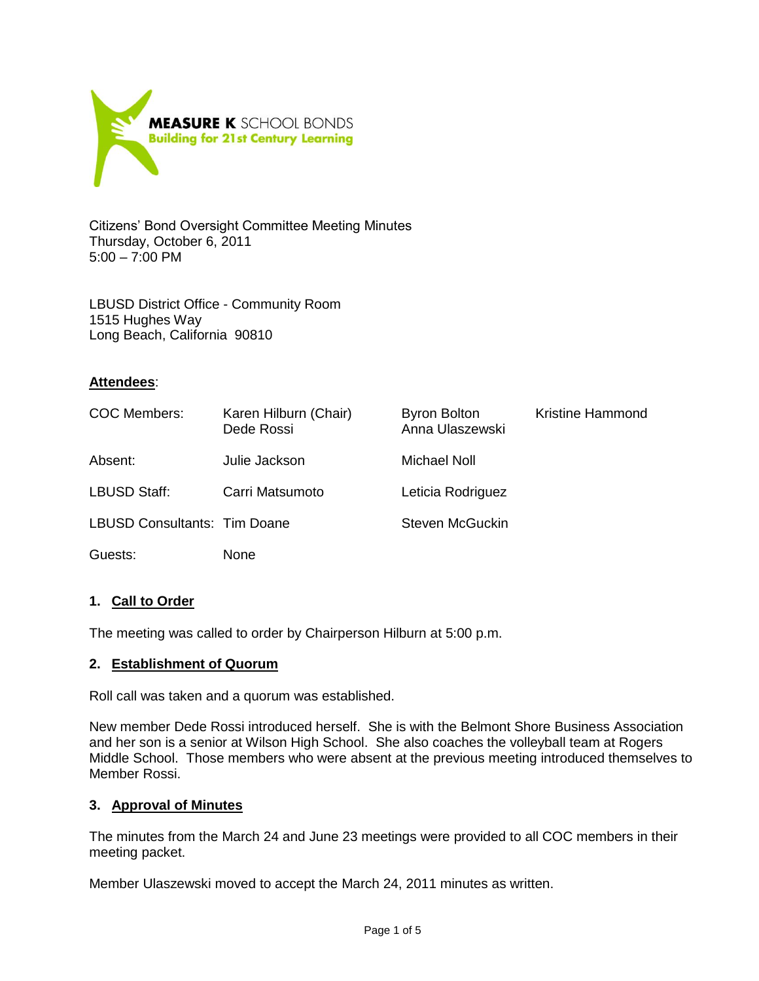

Citizens' Bond Oversight Committee Meeting Minutes Thursday, October 6, 2011 5:00 – 7:00 PM

LBUSD District Office - Community Room 1515 Hughes Way Long Beach, California 90810

### **Attendees**:

| COC Members:                 | Karen Hilburn (Chair)<br>Dede Rossi | <b>Byron Bolton</b><br>Anna Ulaszewski | <b>Kristine Hammond</b> |
|------------------------------|-------------------------------------|----------------------------------------|-------------------------|
| Absent:                      | Julie Jackson                       | Michael Noll                           |                         |
| <b>LBUSD Staff:</b>          | Carri Matsumoto                     | Leticia Rodriguez                      |                         |
| LBUSD Consultants: Tim Doane |                                     | Steven McGuckin                        |                         |
| Guests:                      | None                                |                                        |                         |

## **1. Call to Order**

The meeting was called to order by Chairperson Hilburn at 5:00 p.m.

### **2. Establishment of Quorum**

Roll call was taken and a quorum was established.

New member Dede Rossi introduced herself. She is with the Belmont Shore Business Association and her son is a senior at Wilson High School. She also coaches the volleyball team at Rogers Middle School. Those members who were absent at the previous meeting introduced themselves to Member Rossi.

### **3. Approval of Minutes**

The minutes from the March 24 and June 23 meetings were provided to all COC members in their meeting packet.

Member Ulaszewski moved to accept the March 24, 2011 minutes as written.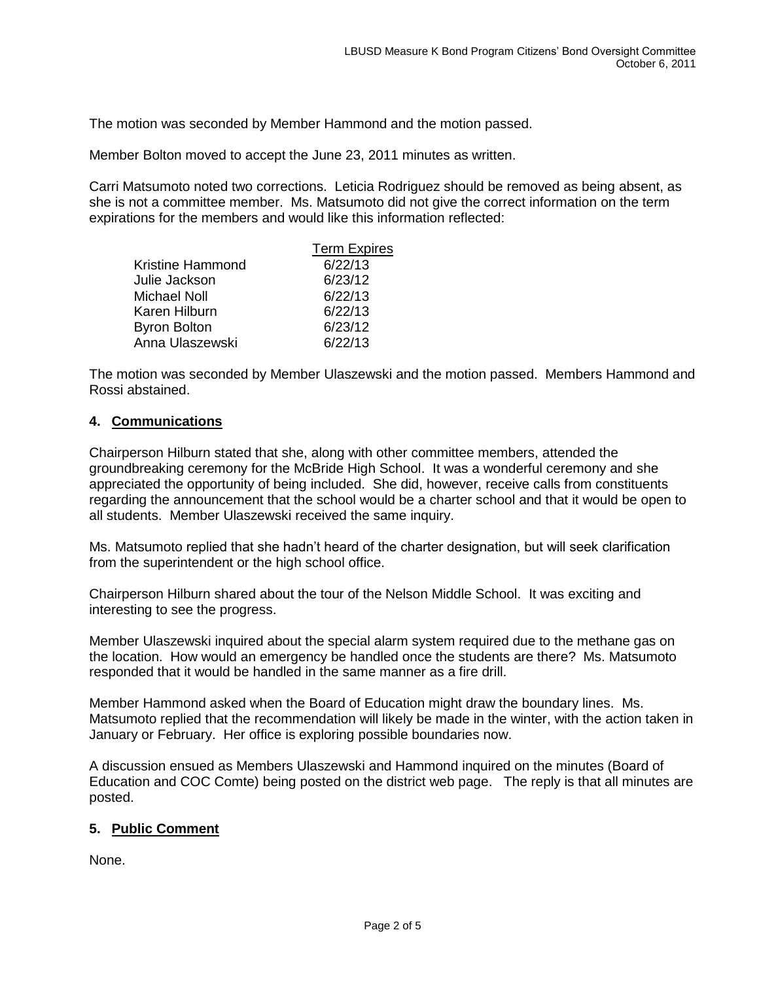The motion was seconded by Member Hammond and the motion passed.

Member Bolton moved to accept the June 23, 2011 minutes as written.

Carri Matsumoto noted two corrections. Leticia Rodriguez should be removed as being absent, as she is not a committee member. Ms. Matsumoto did not give the correct information on the term expirations for the members and would like this information reflected:

|                         | <b>Term Expires</b> |
|-------------------------|---------------------|
| <b>Kristine Hammond</b> | 6/22/13             |
| Julie Jackson           | 6/23/12             |
| Michael Noll            | 6/22/13             |
| Karen Hilburn           | 6/22/13             |
| <b>Byron Bolton</b>     | 6/23/12             |
| Anna Ulaszewski         | 6/22/13             |

The motion was seconded by Member Ulaszewski and the motion passed. Members Hammond and Rossi abstained.

### **4. Communications**

Chairperson Hilburn stated that she, along with other committee members, attended the groundbreaking ceremony for the McBride High School. It was a wonderful ceremony and she appreciated the opportunity of being included. She did, however, receive calls from constituents regarding the announcement that the school would be a charter school and that it would be open to all students. Member Ulaszewski received the same inquiry.

Ms. Matsumoto replied that she hadn't heard of the charter designation, but will seek clarification from the superintendent or the high school office.

Chairperson Hilburn shared about the tour of the Nelson Middle School. It was exciting and interesting to see the progress.

Member Ulaszewski inquired about the special alarm system required due to the methane gas on the location. How would an emergency be handled once the students are there? Ms. Matsumoto responded that it would be handled in the same manner as a fire drill.

Member Hammond asked when the Board of Education might draw the boundary lines. Ms. Matsumoto replied that the recommendation will likely be made in the winter, with the action taken in January or February. Her office is exploring possible boundaries now.

A discussion ensued as Members Ulaszewski and Hammond inquired on the minutes (Board of Education and COC Comte) being posted on the district web page. The reply is that all minutes are posted.

### **5. Public Comment**

None.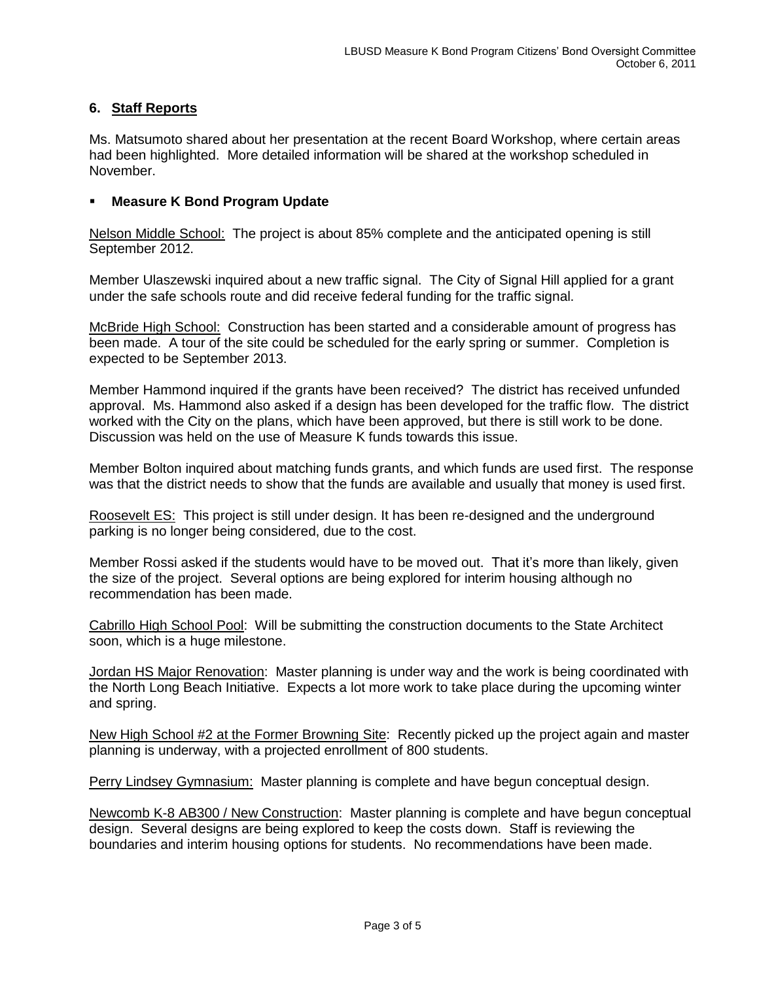# **6. Staff Reports**

Ms. Matsumoto shared about her presentation at the recent Board Workshop, where certain areas had been highlighted. More detailed information will be shared at the workshop scheduled in November.

### **Measure K Bond Program Update**

Nelson Middle School: The project is about 85% complete and the anticipated opening is still September 2012.

Member Ulaszewski inquired about a new traffic signal. The City of Signal Hill applied for a grant under the safe schools route and did receive federal funding for the traffic signal.

McBride High School: Construction has been started and a considerable amount of progress has been made. A tour of the site could be scheduled for the early spring or summer. Completion is expected to be September 2013.

Member Hammond inquired if the grants have been received? The district has received unfunded approval. Ms. Hammond also asked if a design has been developed for the traffic flow. The district worked with the City on the plans, which have been approved, but there is still work to be done. Discussion was held on the use of Measure K funds towards this issue.

Member Bolton inquired about matching funds grants, and which funds are used first. The response was that the district needs to show that the funds are available and usually that money is used first.

Roosevelt ES: This project is still under design. It has been re-designed and the underground parking is no longer being considered, due to the cost.

Member Rossi asked if the students would have to be moved out. That it's more than likely, given the size of the project. Several options are being explored for interim housing although no recommendation has been made.

Cabrillo High School Pool: Will be submitting the construction documents to the State Architect soon, which is a huge milestone.

Jordan HS Major Renovation: Master planning is under way and the work is being coordinated with the North Long Beach Initiative. Expects a lot more work to take place during the upcoming winter and spring.

New High School #2 at the Former Browning Site: Recently picked up the project again and master planning is underway, with a projected enrollment of 800 students.

**Perry Lindsey Gymnasium:** Master planning is complete and have begun conceptual design.

Newcomb K-8 AB300 / New Construction: Master planning is complete and have begun conceptual design. Several designs are being explored to keep the costs down. Staff is reviewing the boundaries and interim housing options for students. No recommendations have been made.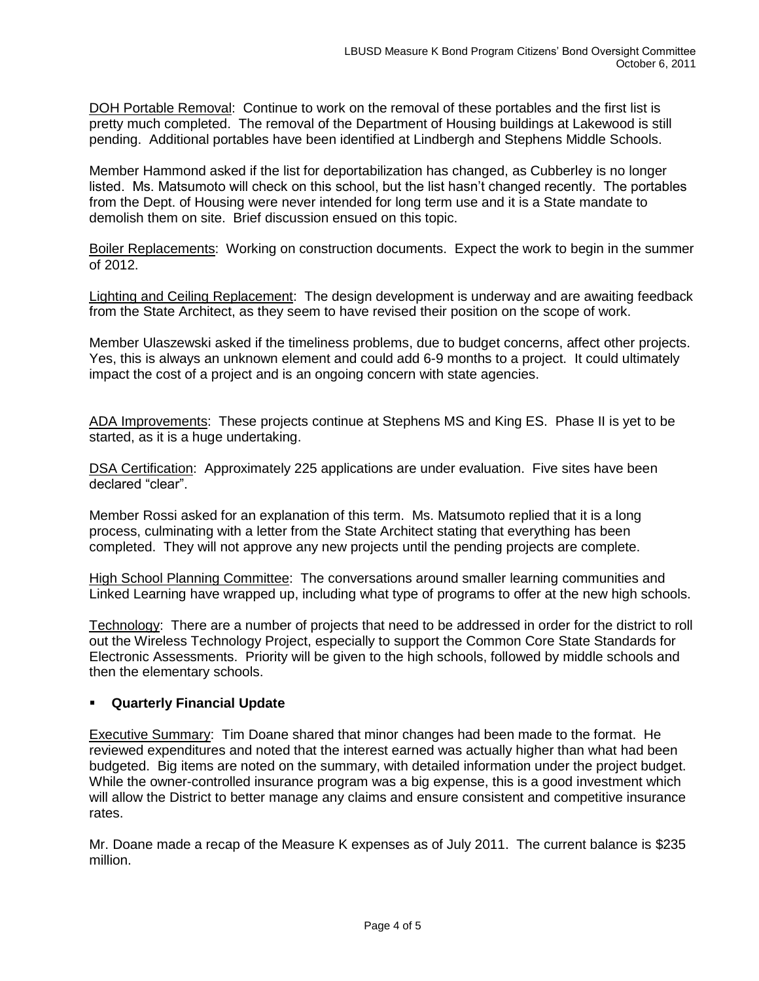DOH Portable Removal: Continue to work on the removal of these portables and the first list is pretty much completed. The removal of the Department of Housing buildings at Lakewood is still pending. Additional portables have been identified at Lindbergh and Stephens Middle Schools.

Member Hammond asked if the list for deportabilization has changed, as Cubberley is no longer listed. Ms. Matsumoto will check on this school, but the list hasn't changed recently. The portables from the Dept. of Housing were never intended for long term use and it is a State mandate to demolish them on site. Brief discussion ensued on this topic.

Boiler Replacements: Working on construction documents. Expect the work to begin in the summer of 2012.

Lighting and Ceiling Replacement: The design development is underway and are awaiting feedback from the State Architect, as they seem to have revised their position on the scope of work.

Member Ulaszewski asked if the timeliness problems, due to budget concerns, affect other projects. Yes, this is always an unknown element and could add 6-9 months to a project. It could ultimately impact the cost of a project and is an ongoing concern with state agencies.

ADA Improvements: These projects continue at Stephens MS and King ES. Phase II is yet to be started, as it is a huge undertaking.

DSA Certification: Approximately 225 applications are under evaluation. Five sites have been declared "clear".

Member Rossi asked for an explanation of this term. Ms. Matsumoto replied that it is a long process, culminating with a letter from the State Architect stating that everything has been completed. They will not approve any new projects until the pending projects are complete.

High School Planning Committee: The conversations around smaller learning communities and Linked Learning have wrapped up, including what type of programs to offer at the new high schools.

Technology: There are a number of projects that need to be addressed in order for the district to roll out the Wireless Technology Project, especially to support the Common Core State Standards for Electronic Assessments. Priority will be given to the high schools, followed by middle schools and then the elementary schools.

## **Quarterly Financial Update**

Executive Summary: Tim Doane shared that minor changes had been made to the format. He reviewed expenditures and noted that the interest earned was actually higher than what had been budgeted. Big items are noted on the summary, with detailed information under the project budget. While the owner-controlled insurance program was a big expense, this is a good investment which will allow the District to better manage any claims and ensure consistent and competitive insurance rates.

Mr. Doane made a recap of the Measure K expenses as of July 2011. The current balance is \$235 million.